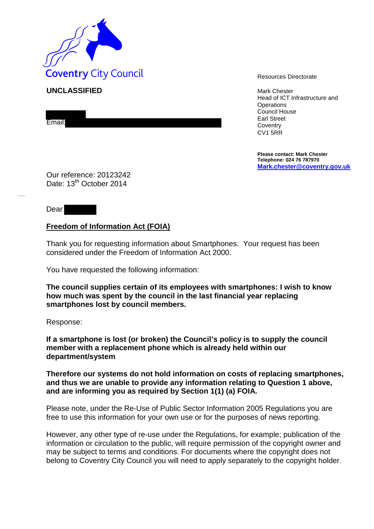

**UNCLASSIFIED** Mark Chester

Email:

Head of ICT Infrastructure and **Operations** Council House Earl Street **Coventry** CV1 5RR

**Please contact: Mark Chester Telephone: 024 76 787970 [Mark.chester@coventry.gov.uk](mailto:Mark.chester@coventry.gov.uk)**

Our reference: 20123242 Date: 13<sup>th</sup> October 2014

Dear

## **Freedom of Information Act (FOIA)**

Thank you for requesting information about Smartphones. Your request has been considered under the Freedom of Information Act 2000.

You have requested the following information:

**The council supplies certain of its employees with smartphones: I wish to know how much was spent by the council in the last financial year replacing smartphones lost by council members.**

Response:

**If a smartphone is lost (or broken) the Council's policy is to supply the council member with a replacement phone which is already held within our department/system** 

**Therefore our systems do not hold information on costs of replacing smartphones, and thus we are unable to provide any information relating to Question 1 above, and are informing you as required by Section 1(1) (a) FOIA.**

Please note, under the Re-Use of Public Sector Information 2005 Regulations you are free to use this information for your own use or for the purposes of news reporting.

However, any other type of re-use under the Regulations, for example; publication of the information or circulation to the public, will require permission of the copyright owner and may be subject to terms and conditions. For documents where the copyright does not belong to Coventry City Council you will need to apply separately to the copyright holder.